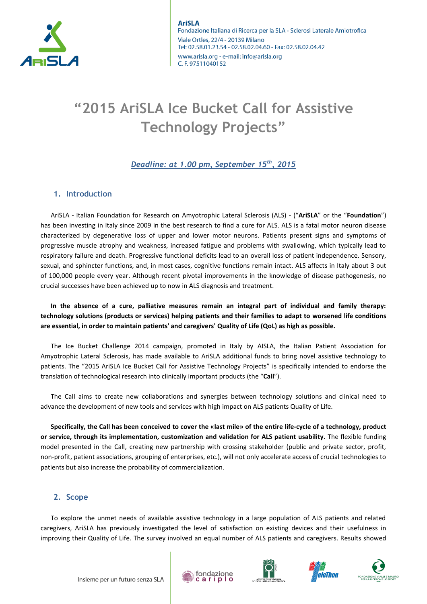

# **"2015 AriSLA Ice Bucket Call for Assistive Technology Projects"**

# *Deadline: at 1.00 pm, September 15th, 2015*

# **1. Introduction**

AriSLA - Italian Foundation for Research on Amyotrophic Lateral Sclerosis (ALS) - ("**AriSLA**" or the "**Foundation**") has been investing in Italy since 2009 in the best research to find a cure for ALS. ALS is a fatal motor neuron disease characterized by degenerative loss of upper and lower motor neurons. Patients present signs and symptoms of progressive muscle atrophy and weakness, increased fatigue and problems with swallowing, which typically lead to respiratory failure and death. Progressive functional deficits lead to an overall loss of patient independence. Sensory, sexual, and sphincter functions, and, in most cases, cognitive functions remain intact. ALS affects in Italy about 3 out of 100,000 people every year. Although recent pivotal improvements in the knowledge of disease pathogenesis, no crucial successes have been achieved up to now in ALS diagnosis and treatment.

**In the absence of a cure, palliative measures remain an integral part of individual and family therapy: technology solutions (products or services) helping patients and their families to adapt to worsened life conditions are essential, in order to maintain patients' and caregivers' Quality of Life (QoL) as high as possible.**

The Ice Bucket Challenge 2014 campaign, promoted in Italy by AISLA, the Italian Patient Association for Amyotrophic Lateral Sclerosis, has made available to AriSLA additional funds to bring novel assistive technology to patients. The "2015 AriSLA Ice Bucket Call for Assistive Technology Projects" is specifically intended to endorse the translation of technological research into clinically important products (the "**Call**").

The Call aims to create new collaborations and synergies between technology solutions and clinical need to advance the development of new tools and services with high impact on ALS patients Quality of Life.

**Specifically, the Call has been conceived to cover the «last mile» of the entire life-cycle of a technology, product or service, through its implementation, customization and validation for ALS patient usability.** The flexible funding model presented in the Call, creating new partnership with crossing stakeholder (public and private sector, profit, non-profit, patient associations, grouping of enterprises, etc.), will not only accelerate access of crucial technologies to patients but also increase the probability of commercialization.

## **2. Scope**

To explore the unmet needs of available assistive technology in a large population of ALS patients and related caregivers, AriSLA has previously investigated the level of satisfaction on existing devices and their usefulness in improving their Quality of Life. The survey involved an equal number of ALS patients and caregivers. Results showed







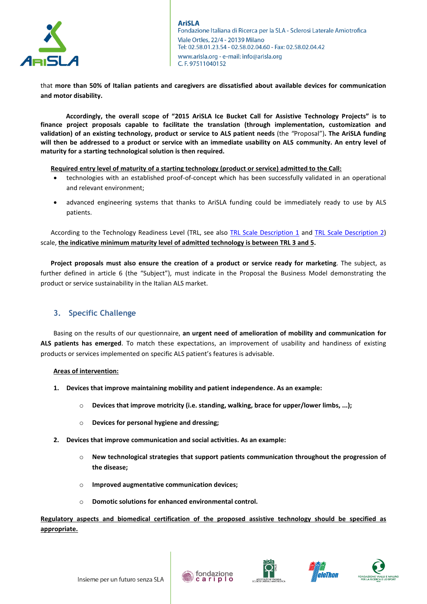

that **more than 50% of Italian patients and caregivers are dissatisfied about available devices for communication and motor disability.** 

**Accordingly, the overall scope of "2015 AriSLA Ice Bucket Call for Assistive Technology Projects" is to finance project proposals capable to facilitate the translation (through implementation, customization and validation) of an existing technology, product or service to ALS patient needs** (the *"*Proposal")**. The AriSLA funding will then be addressed to a product or service with an immediate usability on ALS community. An entry level of maturity for a starting technological solution is then required.**

**Required entry level of maturity of a starting technology (product or service) admitted to the Call:**

- technologies with an established proof-of-concept which has been successfully validated in an operational and relevant environment;
- advanced engineering systems that thanks to AriSLA funding could be immediately ready to use by ALS patients.

According to the Technology Readiness Level (TRL, see also [TRL Scale Description 1](http://ec.europa.eu/research/participants/data/ref/h2020/wp/2014_2015/annexes/h2020-wp1415-annex-g-trl_en.pdf) and [TRL Scale Description 2\)](http://www.innovationseeds.eu/Virtual_Library/Knowledge/TLR_Scale.kl) scale, **the indicative minimum maturity level of admitted technology is between TRL 3 and 5.**

**Project proposals must also ensure the creation of a product or service ready for marketing**. The subject, as further defined in article 6 (the "Subject"), must indicate in the Proposal the Business Model demonstrating the product or service sustainability in the Italian ALS market.

# **3. Specific Challenge**

Basing on the results of our questionnaire, **an urgent need of amelioration of mobility and communication for ALS patients has emerged**. To match these expectations, an improvement of usability and handiness of existing products or services implemented on specific ALS patient's features is advisable.

### **Areas of intervention:**

- **1. Devices that improve maintaining mobility and patient independence. As an example:** 
	- o **Devices that improve motricity (i.e. standing, walking, brace for upper/lower limbs, ...);**
	- o **Devices for personal hygiene and dressing;**
- **2. Devices that improve communication and social activities. As an example:** 
	- o **New technological strategies that support patients communication throughout the progression of the disease;**
	- o **Improved augmentative communication devices;**
	- o **Domotic solutions for enhanced environmental control.**

**Regulatory aspects and biomedical certification of the proposed assistive technology should be specified as appropriate.**









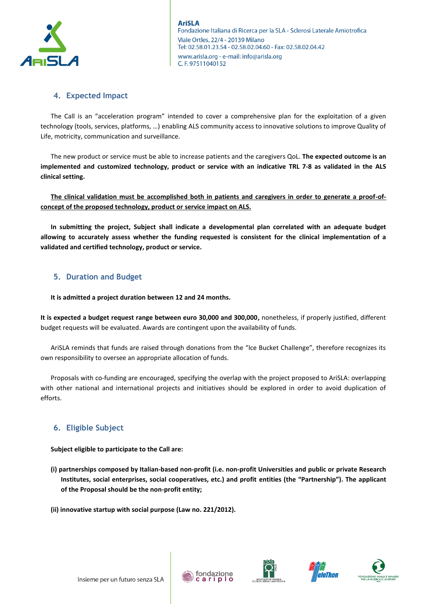

# **4. Expected Impact**

The Call is an "acceleration program" intended to cover a comprehensive plan for the exploitation of a given technology (tools, services, platforms, …) enabling ALS community access to innovative solutions to improve Quality of Life, motricity, communication and surveillance.

The new product or service must be able to increase patients and the caregivers QoL. **The expected outcome is an implemented and customized technology, product or service with an indicative TRL 7-8 as validated in the ALS clinical setting.**

**The clinical validation must be accomplished both in patients and caregivers in order to generate a proof-ofconcept of the proposed technology, product or service impact on ALS.**

**In submitting the project, Subject shall indicate a developmental plan correlated with an adequate budget allowing to accurately assess whether the funding requested is consistent for the clinical implementation of a validated and certified technology, product or service.**

# **5. Duration and Budget**

**It is admitted a project duration between 12 and 24 months.**

**It is expected a budget request range between euro 30,000 and 300,000,** nonetheless, if properly justified, different budget requests will be evaluated. Awards are contingent upon the availability of funds.

AriSLA reminds that funds are raised through donations from the "Ice Bucket Challenge", therefore recognizes its own responsibility to oversee an appropriate allocation of funds.

Proposals with co-funding are encouraged, specifying the overlap with the project proposed to AriSLA: overlapping with other national and international projects and initiatives should be explored in order to avoid duplication of efforts.

# **6. Eligible Subject**

**Subject eligible to participate to the Call are:**

- **(i) partnerships composed by Italian-based non-profit (i.e. non-profit Universities and public or private Research Institutes, social enterprises, social cooperatives, etc.) and profit entities (the "Partnership"). The applicant of the Proposal should be the non-profit entity;**
- **(ii) innovative startup with social purpose (Law no. 221/2012).**









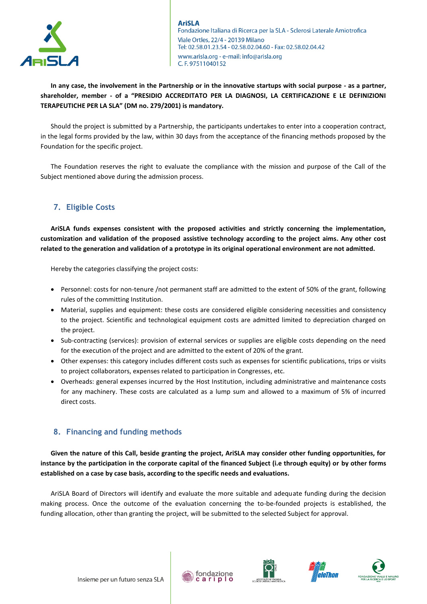

**In any case, the involvement in the Partnership or in the innovative startups with social purpose - as a partner, shareholder, member - of a "PRESIDIO ACCREDITATO PER LA DIAGNOSI, LA CERTIFICAZIONE E LE DEFINIZIONI TERAPEUTICHE PER LA SLA" (DM no. 279/2001) is mandatory.** 

Should the project is submitted by a Partnership, the participants undertakes to enter into a cooperation contract, in the legal forms provided by the law, within 30 days from the acceptance of the financing methods proposed by the Foundation for the specific project.

The Foundation reserves the right to evaluate the compliance with the mission and purpose of the Call of the Subject mentioned above during the admission process.

# **7. Eligible Costs**

**AriSLA funds expenses consistent with the proposed activities and strictly concerning the implementation, customization and validation of the proposed assistive technology according to the project aims. Any other cost related to the generation and validation of a prototype in its original operational environment are not admitted.**

Hereby the categories classifying the project costs:

- Personnel: costs for non-tenure /not permanent staff are admitted to the extent of 50% of the grant, following rules of the committing Institution.
- Material, supplies and equipment: these costs are considered eligible considering necessities and consistency to the project. Scientific and technological equipment costs are admitted limited to depreciation charged on the project.
- Sub-contracting (services): provision of external services or supplies are eligible costs depending on the need for the execution of the project and are admitted to the extent of 20% of the grant.
- Other expenses: this category includes different costs such as expenses for scientific publications, trips or visits to project collaborators, expenses related to participation in Congresses, etc.
- Overheads: general expenses incurred by the Host Institution, including administrative and maintenance costs for any machinery. These costs are calculated as a lump sum and allowed to a maximum of 5% of incurred direct costs.

# **8. Financing and funding methods**

**Given the nature of this Call, beside granting the project, AriSLA may consider other funding opportunities, for instance by the participation in the corporate capital of the financed Subject (i.e through equity) or by other forms established on a case by case basis, according to the specific needs and evaluations.** 

AriSLA Board of Directors will identify and evaluate the more suitable and adequate funding during the decision making process. Once the outcome of the evaluation concerning the to-be-founded projects is established, the funding allocation, other than granting the project, will be submitted to the selected Subject for approval.







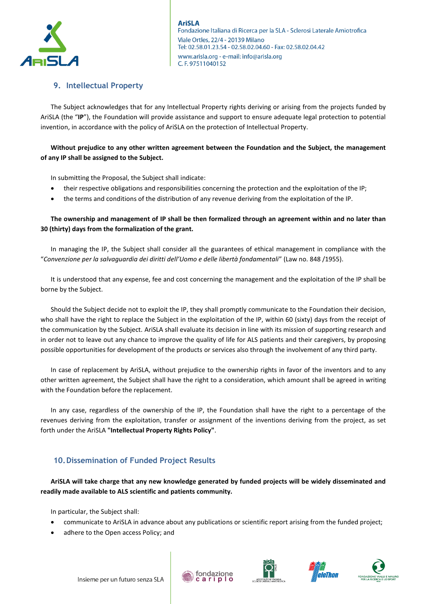

# **9. Intellectual Property**

The Subject acknowledges that for any Intellectual Property rights deriving or arising from the projects funded by AriSLA (the "**IP**"), the Foundation will provide assistance and support to ensure adequate legal protection to potential invention, in accordance with the policy of AriSLA on the protection of Intellectual Property.

# **Without prejudice to any other written agreement between the Foundation and the Subject, the management of any IP shall be assigned to the Subject.**

In submitting the Proposal, the Subject shall indicate:

- their respective obligations and responsibilities concerning the protection and the exploitation of the IP;
- the terms and conditions of the distribution of any revenue deriving from the exploitation of the IP.

# **The ownership and management of IP shall be then formalized through an agreement within and no later than 30 (thirty) days from the formalization of the grant.**

In managing the IP, the Subject shall consider all the guarantees of ethical management in compliance with the "*Convenzione per la salvaguardia dei diritti dell'Uomo e delle libertà fondamentali*" (Law no. 848 /1955).

It is understood that any expense, fee and cost concerning the management and the exploitation of the IP shall be borne by the Subject.

Should the Subject decide not to exploit the IP, they shall promptly communicate to the Foundation their decision, who shall have the right to replace the Subject in the exploitation of the IP, within 60 (sixty) days from the receipt of the communication by the Subject. AriSLA shall evaluate its decision in line with its mission of supporting research and in order not to leave out any chance to improve the quality of life for ALS patients and their caregivers, by proposing possible opportunities for development of the products or services also through the involvement of any third party.

In case of replacement by AriSLA, without prejudice to the ownership rights in favor of the inventors and to any other written agreement, the Subject shall have the right to a consideration, which amount shall be agreed in writing with the Foundation before the replacement.

In any case, regardless of the ownership of the IP, the Foundation shall have the right to a percentage of the revenues deriving from the exploitation, transfer or assignment of the inventions deriving from the project, as set forth under the AriSLA **"Intellectual Property Rights Policy"**.

# **10.Dissemination of Funded Project Results**

**AriSLA will take charge that any new knowledge generated by funded projects will be widely disseminated and readily made available to ALS scientific and patients community.** 

In particular, the Subject shall:

- communicate to AriSLA in advance about any publications or scientific report arising from the funded project;
- adhere to the Open access Policy; and









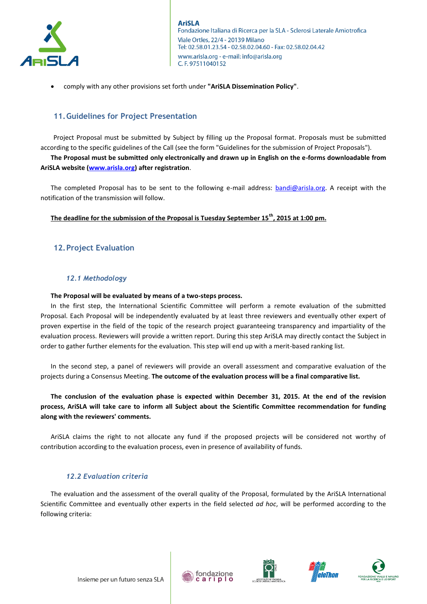

comply with any other provisions set forth under **"AriSLA Dissemination Policy"**.

## **11.Guidelines for Project Presentation**

Project Proposal must be submitted by Subject by filling up the Proposal format. Proposals must be submitted according to the specific guidelines of the Call (see the form "Guidelines for the submission of Project Proposals"). **The Proposal must be submitted only electronically and drawn up in English on the e-forms downloadable from AriSLA website [\(www.arisla.org\)](http://www.arisla.org/) after registration**.

The completed Proposal has to be sent to the following e-mail address: **bandi@arisla.org**. A receipt with the notification of the transmission will follow.

# **The deadline for the submission of the Proposal is Tuesday September 15th, 2015 at 1:00 pm.**

# **12.Project Evaluation**

## *12.1 Methodology*

### **The Proposal will be evaluated by means of a two-steps process.**

In the first step, the International Scientific Committee will perform a remote evaluation of the submitted Proposal. Each Proposal will be independently evaluated by at least three reviewers and eventually other expert of proven expertise in the field of the topic of the research project guaranteeing transparency and impartiality of the evaluation process. Reviewers will provide a written report. During this step AriSLA may directly contact the Subject in order to gather further elements for the evaluation. This step will end up with a merit-based ranking list.

In the second step, a panel of reviewers will provide an overall assessment and comparative evaluation of the projects during a Consensus Meeting. **The outcome of the evaluation process will be a final comparative list.**

**The conclusion of the evaluation phase is expected within December 31, 2015. At the end of the revision process, AriSLA will take care to inform all Subject about the Scientific Committee recommendation for funding along with the reviewers' comments.**

AriSLA claims the right to not allocate any fund if the proposed projects will be considered not worthy of contribution according to the evaluation process, even in presence of availability of funds.

## *12.2 Evaluation criteria*

The evaluation and the assessment of the overall quality of the Proposal, formulated by the AriSLA International Scientific Committee and eventually other experts in the field selected *ad hoc*, will be performed according to the following criteria:









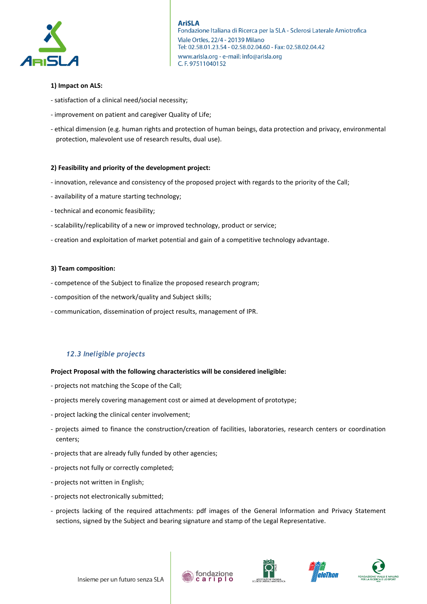

## **1) Impact on ALS:**

- satisfaction of a clinical need/social necessity;
- improvement on patient and caregiver Quality of Life;
- ethical dimension (e.g. human rights and protection of human beings, data protection and privacy, environmental protection, malevolent use of research results, dual use).

### **2) Feasibility and priority of the development project:**

- innovation, relevance and consistency of the proposed project with regards to the priority of the Call;
- availability of a mature starting technology;
- technical and economic feasibility;
- scalability/replicability of a new or improved technology, product or service;
- creation and exploitation of market potential and gain of a competitive technology advantage.

#### **3) Team composition:**

- competence of the Subject to finalize the proposed research program;
- composition of the network/quality and Subject skills;
- communication, dissemination of project results, management of IPR.

## *12.3 Ineligible projects*

### **Project Proposal with the following characteristics will be considered ineligible:**

- projects not matching the Scope of the Call;
- projects merely covering management cost or aimed at development of prototype;
- project lacking the clinical center involvement;
- projects aimed to finance the construction/creation of facilities, laboratories, research centers or coordination centers;
- projects that are already fully funded by other agencies;
- projects not fully or correctly completed;
- projects not written in English;
- projects not electronically submitted;
- projects lacking of the required attachments: pdf images of the General Information and Privacy Statement sections, signed by the Subject and bearing signature and stamp of the Legal Representative.